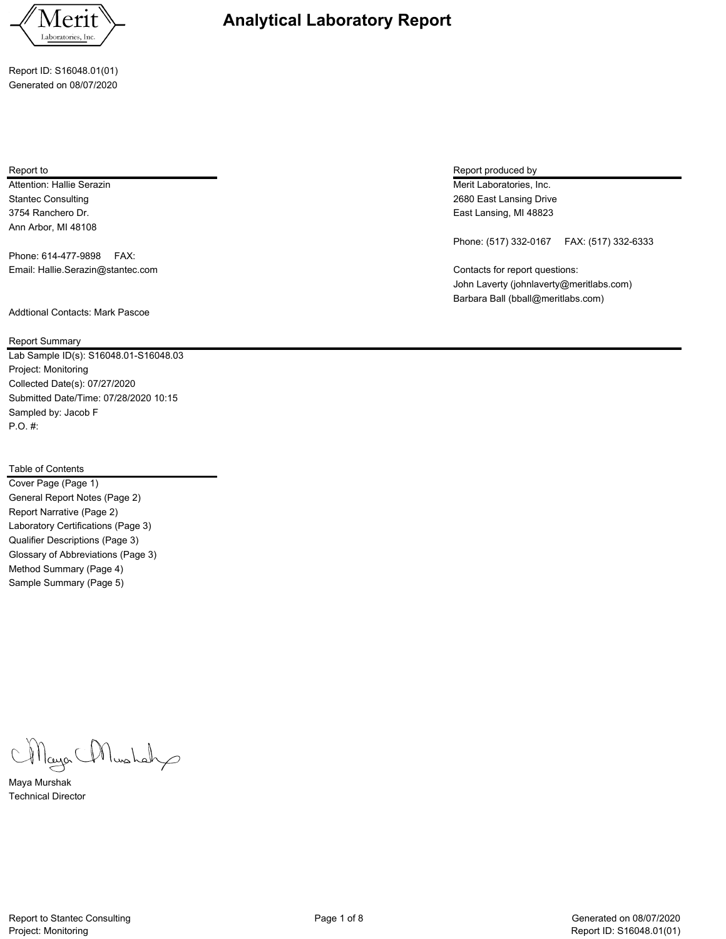

Report ID: S16048.01(01) Generated on 08/07/2020

Attention: Hallie Serazin **Merit Laboratories, Inc.** Attention: Hallie Serazin Merit Laboratories, Inc. 3754 Ranchero Dr. East Lansing, MI 48823 Ann Arbor, MI 48108

Phone: 614-477-9898 FAX: Email: Hallie.Serazin@stantec.com Contacts for report questions:

Addtional Contacts: Mark Pascoe

Report Summary

Lab Sample ID(s): S16048.01-S16048.03 Project: Monitoring Collected Date(s): 07/27/2020 Submitted Date/Time: 07/28/2020 10:15 Sampled by: Jacob F P.O. #:

## Table of Contents

Cover Page (Page 1) General Report Notes (Page 2) Report Narrative (Page 2) Laboratory Certifications (Page 3) Qualifier Descriptions (Page 3) Glossary of Abbreviations (Page 3) Method Summary (Page 4) Sample Summary (Page 5)

Mayor Mushah

Maya Murshak Technical Director

Report to Report produced by  $\sim$  Report produced by  $\sim$  Report produced by  $\sim$  Report produced by

Stantec Consulting 2680 East Lansing Drive

Phone: (517) 332-0167 FAX: (517) 332-6333

John Laverty (johnlaverty@meritlabs.com) Barbara Ball (bball@meritlabs.com)

**Analytical Laboratory Report**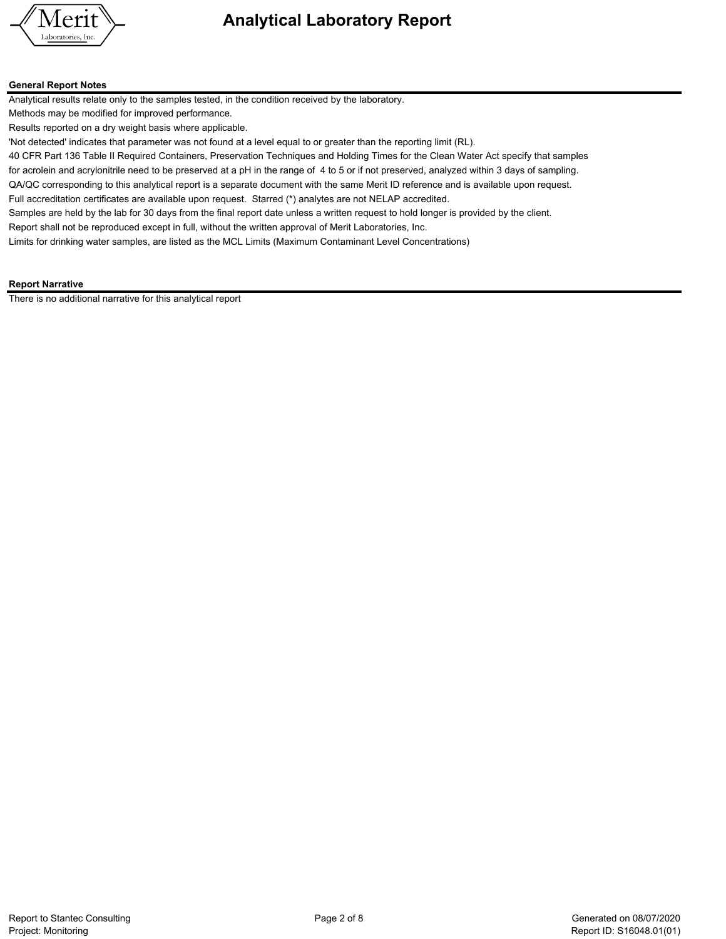

#### **General Report Notes**

Analytical results relate only to the samples tested, in the condition received by the laboratory.

Methods may be modified for improved performance.

Results reported on a dry weight basis where applicable.

'Not detected' indicates that parameter was not found at a level equal to or greater than the reporting limit (RL).

40 CFR Part 136 Table II Required Containers, Preservation Techniques and Holding Times for the Clean Water Act specify that samples

for acrolein and acrylonitrile need to be preserved at a pH in the range of 4 to 5 or if not preserved, analyzed within 3 days of sampling. QA/QC corresponding to this analytical report is a separate document with the same Merit ID reference and is available upon request.

Full accreditation certificates are available upon request. Starred (\*) analytes are not NELAP accredited.

Samples are held by the lab for 30 days from the final report date unless a written request to hold longer is provided by the client.

Report shall not be reproduced except in full, without the written approval of Merit Laboratories, Inc.

Limits for drinking water samples, are listed as the MCL Limits (Maximum Contaminant Level Concentrations)

### **Report Narrative**

There is no additional narrative for this analytical report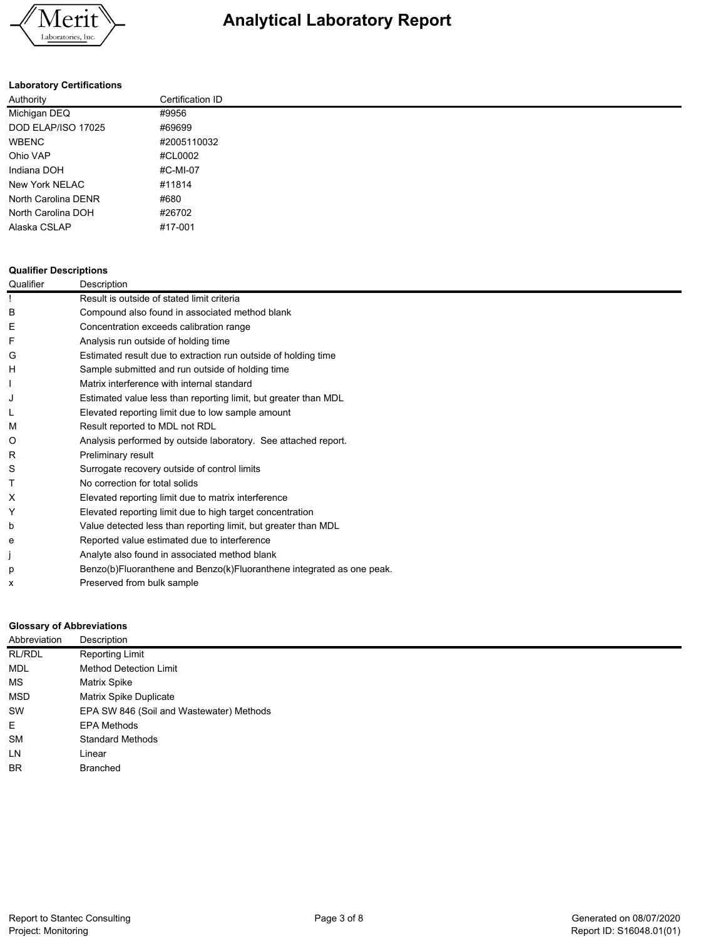

### **Laboratory Certifications**

| Authority           | Certification ID |
|---------------------|------------------|
| Michigan DEQ        | #9956            |
| DOD ELAP/ISO 17025  | #69699           |
| WBENC               | #2005110032      |
| Ohio VAP            | #CL0002          |
| Indiana DOH         | #C-MI-07         |
| New York NELAC      | #11814           |
| North Carolina DENR | #680             |
| North Carolina DOH  | #26702           |
| Alaska CSLAP        | #17-001          |
|                     |                  |

#### **Qualifier Descriptions**

| Qualifier | Description                                                           |
|-----------|-----------------------------------------------------------------------|
|           | Result is outside of stated limit criteria                            |
| в         | Compound also found in associated method blank                        |
| E         | Concentration exceeds calibration range                               |
|           | Analysis run outside of holding time                                  |
| G         | Estimated result due to extraction run outside of holding time        |
| н         | Sample submitted and run outside of holding time                      |
|           | Matrix interference with internal standard                            |
|           | Estimated value less than reporting limit, but greater than MDL       |
|           | Elevated reporting limit due to low sample amount                     |
| м         | Result reported to MDL not RDL                                        |
| Ő         | Analysis performed by outside laboratory. See attached report.        |
| R         | Preliminary result                                                    |
| S         | Surrogate recovery outside of control limits                          |
|           | No correction for total solids                                        |
| X         | Elevated reporting limit due to matrix interference                   |
|           | Elevated reporting limit due to high target concentration             |
| b         | Value detected less than reporting limit, but greater than MDL        |
| е         | Reported value estimated due to interference                          |
|           | Analyte also found in associated method blank                         |
| р         | Benzo(b)Fluoranthene and Benzo(k)Fluoranthene integrated as one peak. |
| x         | Preserved from bulk sample                                            |
|           |                                                                       |

### **Glossary of Abbreviations**

| Abbreviation | Description                              |
|--------------|------------------------------------------|
| RL/RDL       | Reporting Limit                          |
| MDL          | <b>Method Detection Limit</b>            |
| МS           | Matrix Spike                             |
| <b>MSD</b>   | <b>Matrix Spike Duplicate</b>            |
| SW           | EPA SW 846 (Soil and Wastewater) Methods |
| E            | EPA Methods                              |
| <b>SM</b>    | <b>Standard Methods</b>                  |
| LN           | Linear                                   |
| <b>BR</b>    | <b>Branched</b>                          |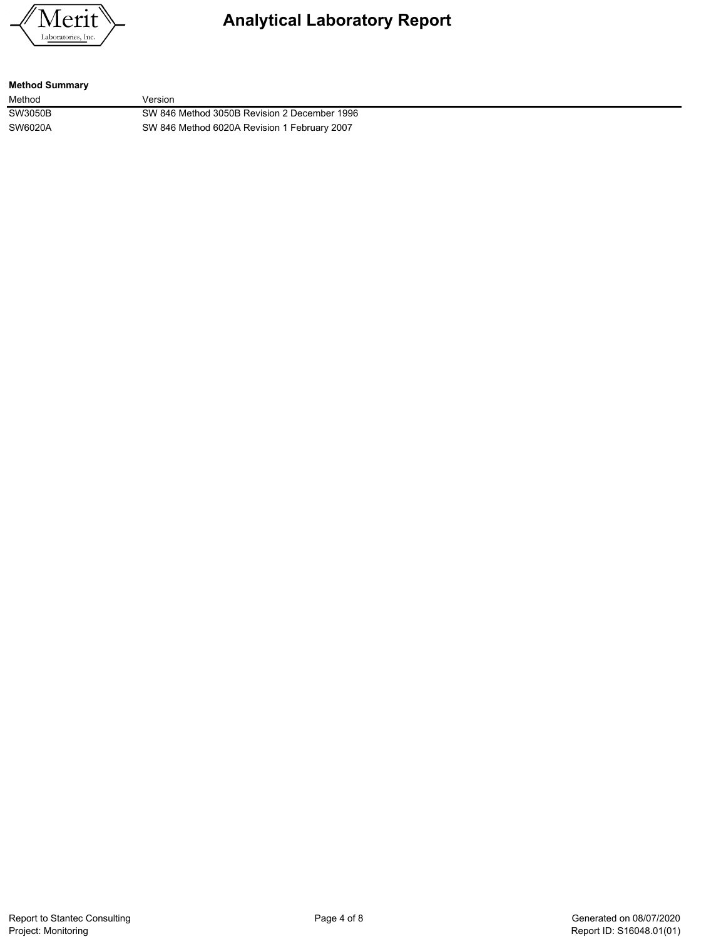

### **Method Summary**

Method **Version** SW3050B SW 846 Method 3050B Revision 2 December 1996 SW6020A SW 846 Method 6020A Revision 1 February 2007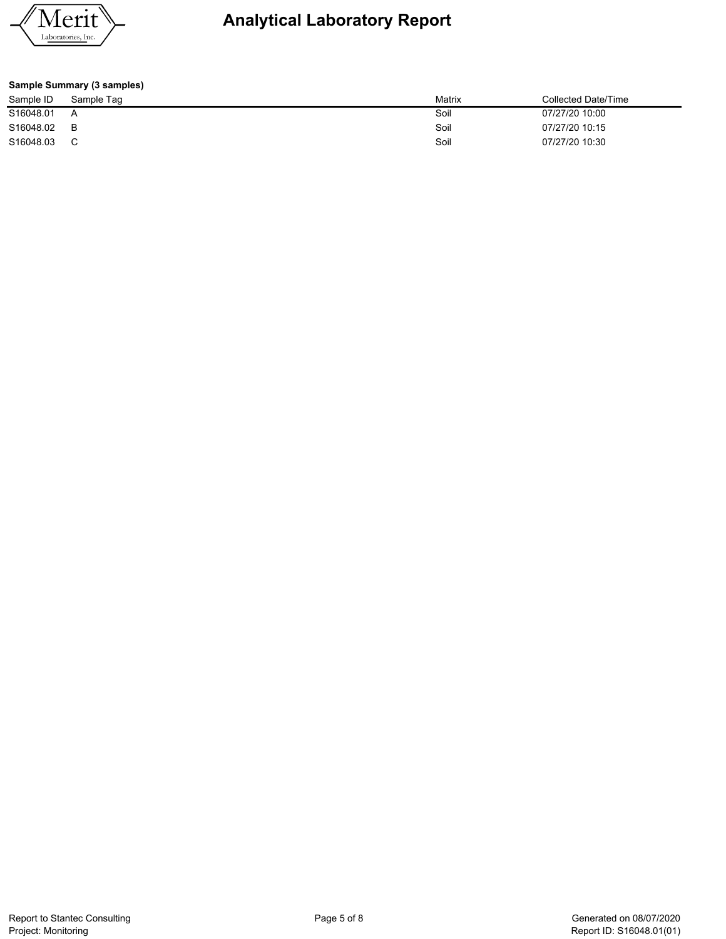

| Sample Summary (3 samples) |            |        |                     |  |  |  |  |  |  |  |
|----------------------------|------------|--------|---------------------|--|--|--|--|--|--|--|
| Sample ID                  | Sample Tag | Matrix | Collected Date/Time |  |  |  |  |  |  |  |
| S16048.01                  | А          | Soil   | 07/27/20 10:00      |  |  |  |  |  |  |  |
| S16048.02                  | в          | Soil   | 07/27/20 10:15      |  |  |  |  |  |  |  |
| S16048.03                  | C          | Soil   | 07/27/20 10:30      |  |  |  |  |  |  |  |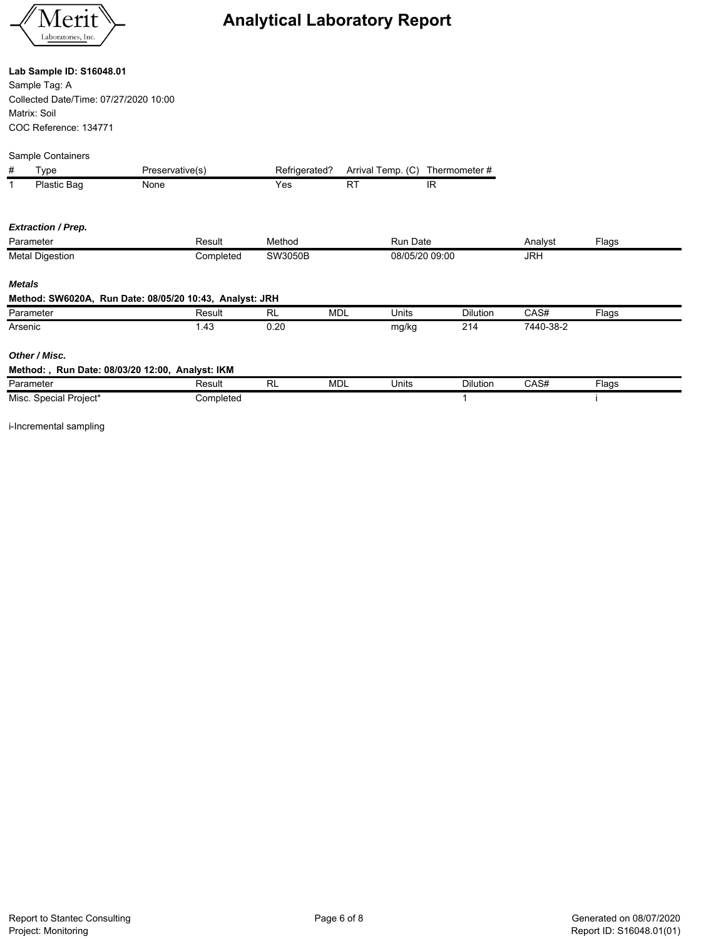

### **Lab Sample ID: S16048.01**

Sample Tag: A Collected Date/Time: 07/27/2020 10:00 Matrix: Soil COC Reference: 134771

|               | Sample Containers         |                                                         |               |            |                   |                 |            |       |  |
|---------------|---------------------------|---------------------------------------------------------|---------------|------------|-------------------|-----------------|------------|-------|--|
| #             | Type                      | Preservative(s)                                         | Refrigerated? |            | Arrival Temp. (C) | Thermometer #   |            |       |  |
|               | Plastic Bag               | None                                                    | Yes           | <b>RT</b>  |                   | IR              |            |       |  |
|               | <b>Extraction / Prep.</b> |                                                         |               |            |                   |                 |            |       |  |
|               | Parameter                 | Result                                                  | Method        |            | <b>Run Date</b>   |                 | Analyst    | Flags |  |
|               | <b>Metal Digestion</b>    | Completed                                               | SW3050B       |            | 08/05/20 09:00    |                 | <b>JRH</b> |       |  |
| <b>Metals</b> |                           |                                                         |               |            |                   |                 |            |       |  |
|               |                           | Method: SW6020A, Run Date: 08/05/20 10:43, Analyst: JRH |               |            |                   |                 |            |       |  |
|               | Parameter                 | Result                                                  | <b>RL</b>     | <b>MDL</b> | Units             | <b>Dilution</b> | CAS#       | Flags |  |
| Arsenic       |                           | 1.43                                                    | 0.20          |            | mg/kg             | 214             | 7440-38-2  |       |  |
|               | Other / Misc.             |                                                         |               |            |                   |                 |            |       |  |
|               |                           | Method:, Run Date: 08/03/20 12:00, Analyst: IKM         |               |            |                   |                 |            |       |  |
|               | Parameter                 | Result                                                  | <b>RL</b>     | <b>MDL</b> | Units             | <b>Dilution</b> | CAS#       | Flags |  |
|               | Misc. Special Project*    | Completed                                               |               |            |                   | 1               |            |       |  |

i-Incremental sampling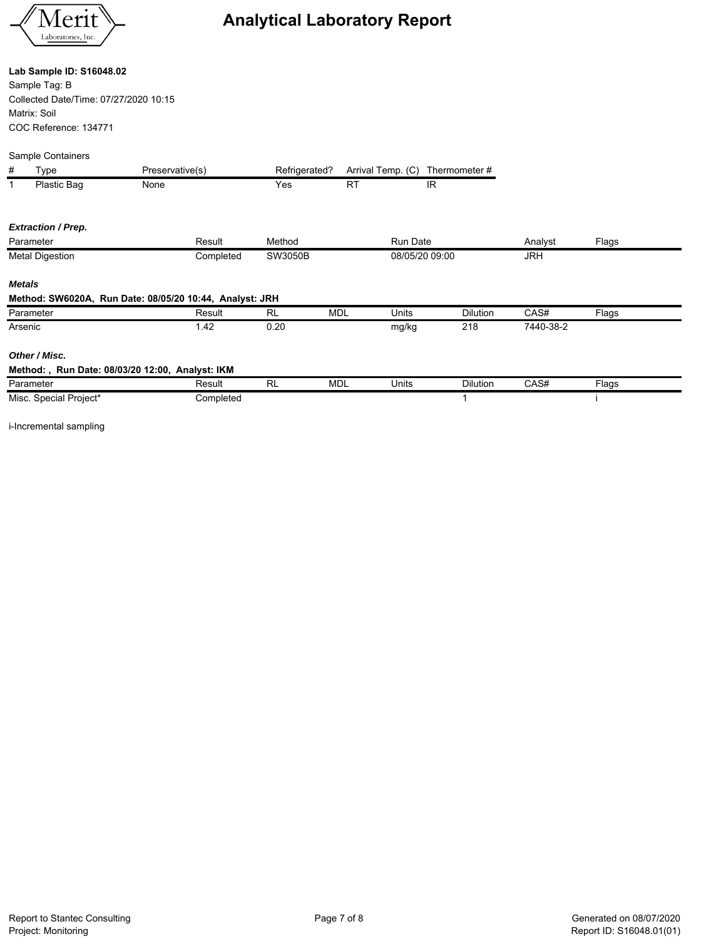

### **Lab Sample ID: S16048.02**

Sample Tag: B Collected Date/Time: 07/27/2020 10:15 Matrix: Soil COC Reference: 134771

|               | Sample Containers         |                                                         |               |            |                   |                 |           |       |
|---------------|---------------------------|---------------------------------------------------------|---------------|------------|-------------------|-----------------|-----------|-------|
| #             | Type                      | Preservative(s)                                         | Refrigerated? |            | Arrival Temp. (C) | Thermometer #   |           |       |
| $\mathbf{1}$  | Plastic Bag               | None                                                    | Yes           | <b>RT</b>  | IR.               |                 |           |       |
|               | <b>Extraction / Prep.</b> |                                                         |               |            |                   |                 |           |       |
|               | Parameter                 | Result                                                  | Method        |            | <b>Run Date</b>   |                 | Analyst   | Flags |
|               | <b>Metal Digestion</b>    | Completed                                               | SW3050B       |            | 08/05/20 09:00    |                 | JRH       |       |
| <b>Metals</b> |                           |                                                         |               |            |                   |                 |           |       |
|               |                           | Method: SW6020A, Run Date: 08/05/20 10:44, Analyst: JRH |               |            |                   |                 |           |       |
|               | Parameter                 | Result                                                  | <b>RL</b>     | <b>MDL</b> | <b>Units</b>      | <b>Dilution</b> | CAS#      | Flags |
| Arsenic       |                           | 1.42                                                    | 0.20          |            | mg/kg             | 218             | 7440-38-2 |       |
|               | Other / Misc.             |                                                         |               |            |                   |                 |           |       |
|               |                           | Method:, Run Date: 08/03/20 12:00, Analyst: IKM         |               |            |                   |                 |           |       |
|               | Parameter                 | Result                                                  | <b>RL</b>     | <b>MDL</b> | Units             | <b>Dilution</b> | CAS#      | Flags |
|               | Misc. Special Project*    | Completed                                               |               |            |                   |                 |           |       |

i-Incremental sampling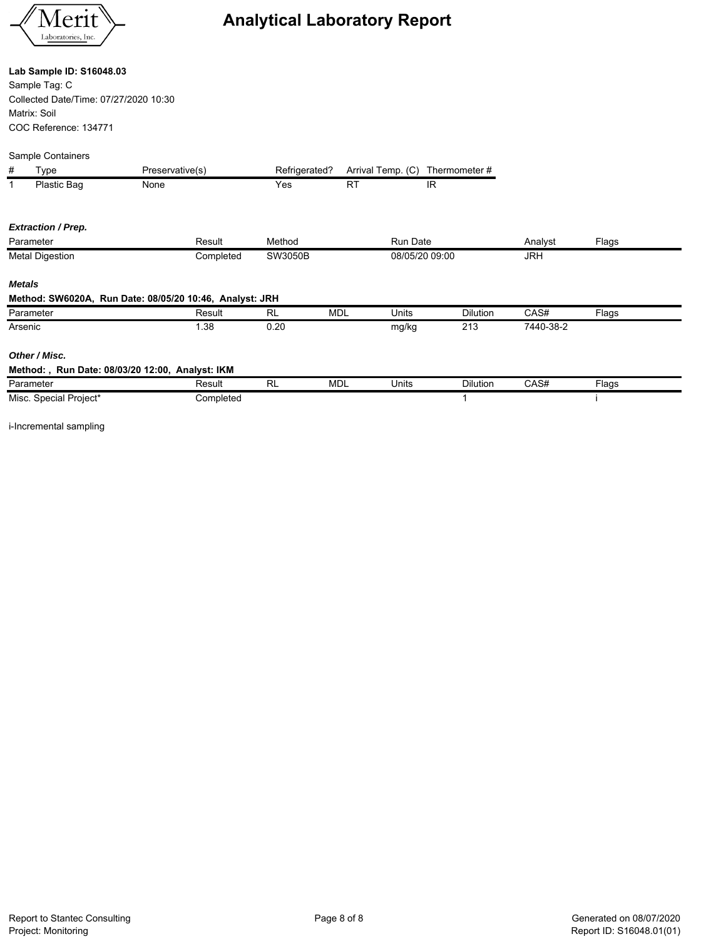

### **Lab Sample ID: S16048.03**

Sample Tag: C Collected Date/Time: 07/27/2020 10:30 Matrix: Soil COC Reference: 134771

|   | Sample Containers |                 |
|---|-------------------|-----------------|
|   | Type              | Preservative(s) |
| 1 | Plastic Bag       | None            |

| $\mathbf{1}$ | Plastic Bag               | None                                                    |           | Yes     | <b>RT</b>  | IR              |                 |           |       |  |
|--------------|---------------------------|---------------------------------------------------------|-----------|---------|------------|-----------------|-----------------|-----------|-------|--|
|              | <b>Extraction / Prep.</b> |                                                         |           |         |            |                 |                 |           |       |  |
|              | Parameter                 | Result                                                  |           | Method  |            | <b>Run Date</b> |                 | Analyst   | Flags |  |
|              | <b>Metal Digestion</b>    |                                                         | Completed | SW3050B |            | 08/05/20 09:00  |                 | JRH       |       |  |
|              | <b>Metals</b>             |                                                         |           |         |            |                 |                 |           |       |  |
|              |                           | Method: SW6020A, Run Date: 08/05/20 10:46, Analyst: JRH |           |         |            |                 |                 |           |       |  |
|              | Parameter                 | Result                                                  | <b>RL</b> |         | <b>MDL</b> | Units           | Dilution        | CAS#      | Flags |  |
|              | Arsenic                   | 1.38                                                    |           | 0.20    |            | mg/kg           | 213             | 7440-38-2 |       |  |
|              | Other / Misc.             |                                                         |           |         |            |                 |                 |           |       |  |
|              |                           | Method:, Run Date: 08/03/20 12:00, Analyst: IKM         |           |         |            |                 |                 |           |       |  |
|              | Parameter                 | Result                                                  | <b>RL</b> |         | <b>MDL</b> | Units           | <b>Dilution</b> | CAS#      | Flags |  |
|              | Misc. Special Project*    |                                                         | Completed |         |            |                 |                 |           |       |  |

Refrigerated? Arrival Temp. (C) Thermometer #

i-Incremental sampling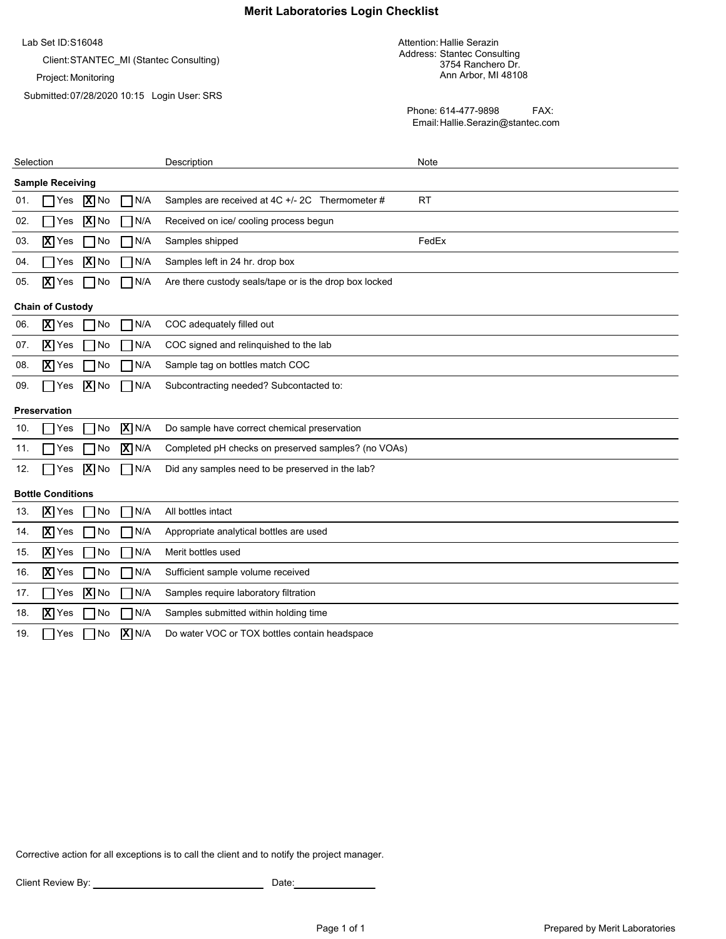### **Merit Laboratories Login Checklist**

Lab Set ID: S16048

Client:STANTEC\_MI (Stantec Consulting)

Project: Monitoring

Submitted: 07/28/2020 10:15 Login User: SRS

Attention: Hallie Serazin Address: Stantec Consulting 3754 Ranchero Dr. Ann Arbor, MI 48108

Phone: 614-477-9898 FAX: Email:Hallie.Serazin@stantec.com

| Selection                                            | Description                                            | Note      |
|------------------------------------------------------|--------------------------------------------------------|-----------|
| <b>Sample Receiving</b>                              |                                                        |           |
| $ \mathbf{X} $ No<br>N/A<br>Yes<br>01.               | Samples are received at 4C +/- 2C Thermometer #        | <b>RT</b> |
| $\overline{X}$ No<br>02.<br>N/A<br>Yes               | Received on ice/ cooling process begun                 |           |
| $\overline{X}$ Yes<br>No<br>N/A<br>03.               | Samples shipped                                        | FedEx     |
| $\overline{\mathbf{X}}$ No<br>N/A<br>04.<br>Yes      | Samples left in 24 hr. drop box                        |           |
| $\overline{X}$ Yes<br>$\neg N/A$<br>$\neg$ No<br>05. | Are there custody seals/tape or is the drop box locked |           |
| <b>Chain of Custody</b>                              |                                                        |           |
| $ \overline{\mathbf{X}} $ Yes<br>No<br>N/A<br>06.    | COC adequately filled out                              |           |
| N/A<br>$\overline{X}$ Yes<br>No<br>07.               | COC signed and relinquished to the lab                 |           |
| X Yes<br>No<br>N/A<br>08.                            | Sample tag on bottles match COC                        |           |
| $\overline{X}$ No<br>N/A<br>09.<br>Yes               | Subcontracting needed? Subcontacted to:                |           |
| <b>Preservation</b>                                  |                                                        |           |
| $\overline{X}$ N/A<br>10.<br>Yes<br>No               | Do sample have correct chemical preservation           |           |
| $X$ N/A<br>No<br>11.<br>Yes                          | Completed pH checks on preserved samples? (no VOAs)    |           |
| $\boxed{\mathbf{X}}$ No<br>$\neg N/A$<br>12.<br>Yes  | Did any samples need to be preserved in the lab?       |           |
| <b>Bottle Conditions</b>                             |                                                        |           |
| N/A<br>X Yes<br>No<br>13.                            | All bottles intact                                     |           |
| $\overline{X}$ Yes<br>No<br>N/A<br>14.               | Appropriate analytical bottles are used                |           |
| N/A<br>$\overline{\mathbf{X}}$ Yes<br>No<br>15.      | Merit bottles used                                     |           |
| $\overline{\mathbf{X}}$ Yes<br>N/A<br>No<br>16.      | Sufficient sample volume received                      |           |
| $\overline{X}$ No<br>N/A<br>17.<br>Yes               | Samples require laboratory filtration                  |           |
| $ \overline{\mathbf{X}} $ Yes<br>N/A<br>18.<br>No    | Samples submitted within holding time                  |           |
| $\overline{X}$ N/A<br>19.<br>No<br>Yes               | Do water VOC or TOX bottles contain headspace          |           |

Corrective action for all exceptions is to call the client and to notify the project manager.